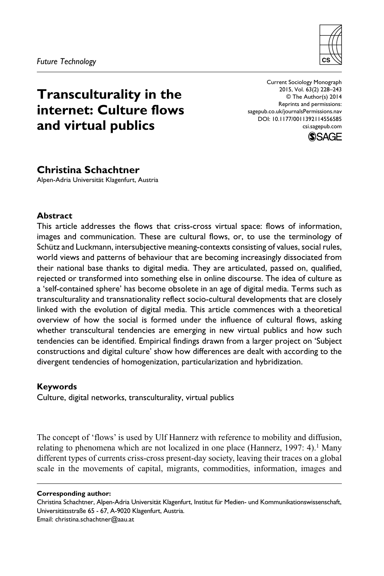

# **Transculturality in the internet: Culture flows and virtual publics**

Current Sociology Monograph 2015, Vol. 63(2) 228–243 © The Author(s) 2014 Reprints and permissions: sagepub.co.uk/journalsPermissions.nav DOI: 10.1177/0011392114556585 csi.sagepub.com



# **Christina Schachtner**

Alpen-Adria Universität Klagenfurt, Austria

#### **Abstract**

This article addresses the flows that criss-cross virtual space: flows of information, images and communication. These are cultural flows, or, to use the terminology of Schütz and Luckmann, intersubjective meaning-contexts consisting of values, social rules, world views and patterns of behaviour that are becoming increasingly dissociated from their national base thanks to digital media. They are articulated, passed on, qualified, rejected or transformed into something else in online discourse. The idea of culture as a 'self-contained sphere' has become obsolete in an age of digital media. Terms such as transculturality and transnationality reflect socio-cultural developments that are closely linked with the evolution of digital media. This article commences with a theoretical overview of how the social is formed under the influence of cultural flows, asking whether transcultural tendencies are emerging in new virtual publics and how such tendencies can be identified. Empirical findings drawn from a larger project on 'Subject constructions and digital culture' show how differences are dealt with according to the divergent tendencies of homogenization, particularization and hybridization.

#### **Keywords**

Culture, digital networks, transculturality, virtual publics

The concept of 'flows' is used by Ulf Hannerz with reference to mobility and diffusion, relating to phenomena which are not localized in one place (Hannerz,  $1997: 4$ ).<sup>1</sup> Many different types of currents criss-cross present-day society, leaving their traces on a global scale in the movements of capital, migrants, commodities, information, images and

**Corresponding author:**

Christina Schachtner, Alpen-Adria Universität Klagenfurt, Institut für Medien- und Kommunikationswissenschaft, Universitätsstraße 65 - 67, A-9020 Klagenfurt, Austria. Email: christina.schachtner@aau.at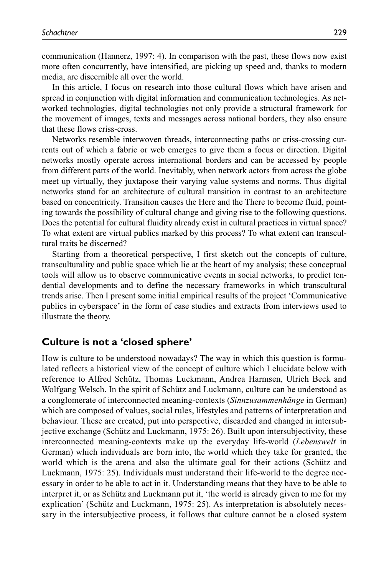communication (Hannerz, 1997: 4). In comparison with the past, these flows now exist more often concurrently, have intensified, are picking up speed and, thanks to modern media, are discernible all over the world.

In this article, I focus on research into those cultural flows which have arisen and spread in conjunction with digital information and communication technologies. As networked technologies, digital technologies not only provide a structural framework for the movement of images, texts and messages across national borders, they also ensure that these flows criss-cross.

Networks resemble interwoven threads, interconnecting paths or criss-crossing currents out of which a fabric or web emerges to give them a focus or direction. Digital networks mostly operate across international borders and can be accessed by people from different parts of the world. Inevitably, when network actors from across the globe meet up virtually, they juxtapose their varying value systems and norms. Thus digital networks stand for an architecture of cultural transition in contrast to an architecture based on concentricity. Transition causes the Here and the There to become fluid, pointing towards the possibility of cultural change and giving rise to the following questions. Does the potential for cultural fluidity already exist in cultural practices in virtual space? To what extent are virtual publics marked by this process? To what extent can transcultural traits be discerned?

Starting from a theoretical perspective, I first sketch out the concepts of culture, transculturality and public space which lie at the heart of my analysis; these conceptual tools will allow us to observe communicative events in social networks, to predict tendential developments and to define the necessary frameworks in which transcultural trends arise. Then I present some initial empirical results of the project 'Communicative publics in cyberspace' in the form of case studies and extracts from interviews used to illustrate the theory.

## **Culture is not a 'closed sphere'**

How is culture to be understood nowadays? The way in which this question is formulated reflects a historical view of the concept of culture which I elucidate below with reference to Alfred Schütz, Thomas Luckmann, Andrea Harmsen, Ulrich Beck and Wolfgang Welsch. In the spirit of Schütz and Luckmann, culture can be understood as a conglomerate of interconnected meaning-contexts (*Sinnzusammenhänge* in German) which are composed of values, social rules, lifestyles and patterns of interpretation and behaviour. These are created, put into perspective, discarded and changed in intersubjective exchange (Schütz and Luckmann, 1975: 26). Built upon intersubjectivity, these interconnected meaning-contexts make up the everyday life-world (*Lebenswelt* in German) which individuals are born into, the world which they take for granted, the world which is the arena and also the ultimate goal for their actions (Schütz and Luckmann, 1975: 25). Individuals must understand their life-world to the degree necessary in order to be able to act in it. Understanding means that they have to be able to interpret it, or as Schütz and Luckmann put it, 'the world is already given to me for my explication' (Schütz and Luckmann, 1975: 25). As interpretation is absolutely necessary in the intersubjective process, it follows that culture cannot be a closed system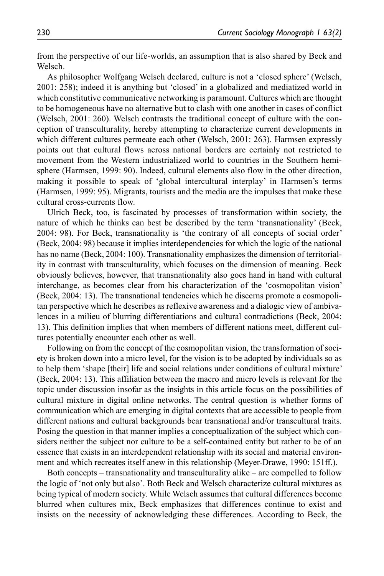from the perspective of our life-worlds, an assumption that is also shared by Beck and Welsch.

As philosopher Wolfgang Welsch declared, culture is not a 'closed sphere' (Welsch, 2001: 258); indeed it is anything but 'closed' in a globalized and mediatized world in which constitutive communicative networking is paramount. Cultures which are thought to be homogeneous have no alternative but to clash with one another in cases of conflict (Welsch, 2001: 260). Welsch contrasts the traditional concept of culture with the conception of transculturality, hereby attempting to characterize current developments in which different cultures permeate each other (Welsch, 2001: 263). Harmsen expressly points out that cultural flows across national borders are certainly not restricted to movement from the Western industrialized world to countries in the Southern hemisphere (Harmsen, 1999: 90). Indeed, cultural elements also flow in the other direction, making it possible to speak of 'global intercultural interplay' in Harmsen's terms (Harmsen, 1999: 95). Migrants, tourists and the media are the impulses that make these cultural cross-currents flow.

Ulrich Beck, too, is fascinated by processes of transformation within society, the nature of which he thinks can best be described by the term 'transnationality' (Beck, 2004: 98). For Beck, transnationality is 'the contrary of all concepts of social order' (Beck, 2004: 98) because it implies interdependencies for which the logic of the national has no name (Beck, 2004: 100). Transnationality emphasizes the dimension of territoriality in contrast with transculturality, which focuses on the dimension of meaning. Beck obviously believes, however, that transnationality also goes hand in hand with cultural interchange, as becomes clear from his characterization of the 'cosmopolitan vision' (Beck, 2004: 13). The transnational tendencies which he discerns promote a cosmopolitan perspective which he describes as reflexive awareness and a dialogic view of ambivalences in a milieu of blurring differentiations and cultural contradictions (Beck, 2004: 13). This definition implies that when members of different nations meet, different cultures potentially encounter each other as well.

Following on from the concept of the cosmopolitan vision, the transformation of society is broken down into a micro level, for the vision is to be adopted by individuals so as to help them 'shape [their] life and social relations under conditions of cultural mixture' (Beck, 2004: 13). This affiliation between the macro and micro levels is relevant for the topic under discussion insofar as the insights in this article focus on the possibilities of cultural mixture in digital online networks. The central question is whether forms of communication which are emerging in digital contexts that are accessible to people from different nations and cultural backgrounds bear transnational and/or transcultural traits. Posing the question in that manner implies a conceptualization of the subject which considers neither the subject nor culture to be a self-contained entity but rather to be of an essence that exists in an interdependent relationship with its social and material environment and which recreates itself anew in this relationship (Meyer-Drawe, 1990: 151ff.).

Both concepts – transnationality and transculturality alike – are compelled to follow the logic of 'not only but also'. Both Beck and Welsch characterize cultural mixtures as being typical of modern society. While Welsch assumes that cultural differences become blurred when cultures mix, Beck emphasizes that differences continue to exist and insists on the necessity of acknowledging these differences. According to Beck, the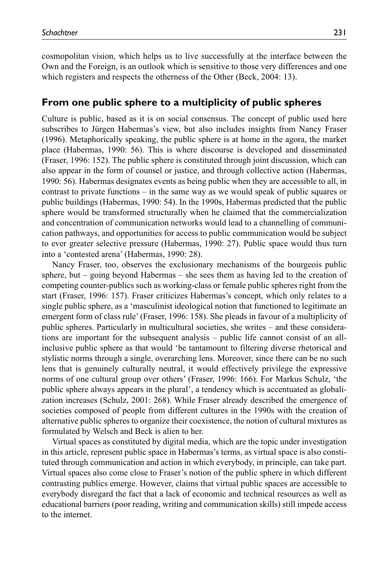cosmopolitan vision, which helps us to live successfully at the interface between the Own and the Foreign, is an outlook which is sensitive to those very differences and one which registers and respects the otherness of the Other (Beck, 2004: 13).

# **From one public sphere to a multiplicity of public spheres**

Culture is public, based as it is on social consensus. The concept of public used here subscribes to Jürgen Habermas's view, but also includes insights from Nancy Fraser (1996). Metaphorically speaking, the public sphere is at home in the agora, the market place (Habermas, 1990: 56). This is where discourse is developed and disseminated (Fraser, 1996: 152). The public sphere is constituted through joint discussion, which can also appear in the form of counsel or justice, and through collective action (Habermas, 1990: 56). Habermas designates events as being public when they are accessible to all, in contrast to private functions – in the same way as we would speak of public squares or public buildings (Habermas, 1990: 54). In the 1990s, Habermas predicted that the public sphere would be transformed structurally when he claimed that the commercialization and concentration of communication networks would lead to a channelling of communication pathways, and opportunities for access to public communication would be subject to ever greater selective pressure (Habermas, 1990: 27). Public space would thus turn into a 'contested arena' (Habermas, 1990: 28).

Nancy Fraser, too, observes the exclusionary mechanisms of the bourgeois public sphere, but – going beyond Habermas – she sees them as having led to the creation of competing counter-publics such as working-class or female public spheres right from the start (Fraser, 1996: 157). Fraser criticizes Habermas's concept, which only relates to a single public sphere, as a 'masculinist ideological notion that functioned to legitimate an emergent form of class rule' (Fraser, 1996: 158). She pleads in favour of a multiplicity of public spheres. Particularly in multicultural societies, she writes – and these considerations are important for the subsequent analysis – public life cannot consist of an allinclusive public sphere as that would 'be tantamount to filtering diverse rhetorical and stylistic norms through a single, overarching lens. Moreover, since there can be no such lens that is genuinely culturally neutral, it would effectively privilege the expressive norms of one cultural group over others' (Fraser, 1996: 166). For Markus Schulz, 'the public sphere always appears in the plural', a tendency which is accentuated as globalization increases (Schulz, 2001: 268). While Fraser already described the emergence of societies composed of people from different cultures in the 1990s with the creation of alternative public spheres to organize their coexistence, the notion of cultural mixtures as formulated by Welsch and Beck is alien to her.

Virtual spaces as constituted by digital media, which are the topic under investigation in this article, represent public space in Habermas's terms, as virtual space is also constituted through communication and action in which everybody, in principle, can take part. Virtual spaces also come close to Fraser's notion of the public sphere in which different contrasting publics emerge. However, claims that virtual public spaces are accessible to everybody disregard the fact that a lack of economic and technical resources as well as educational barriers (poor reading, writing and communication skills) still impede access to the internet.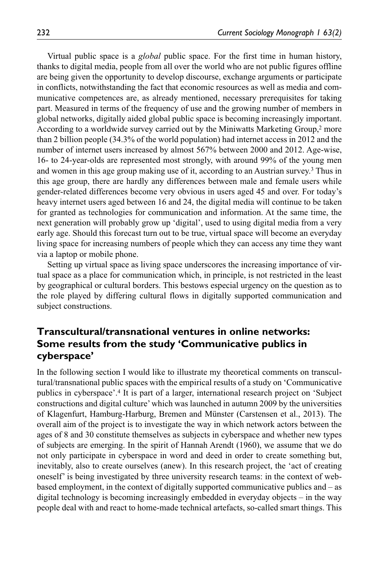Virtual public space is a *global* public space. For the first time in human history, thanks to digital media, people from all over the world who are not public figures offline are being given the opportunity to develop discourse, exchange arguments or participate in conflicts, notwithstanding the fact that economic resources as well as media and communicative competences are, as already mentioned, necessary prerequisites for taking part. Measured in terms of the frequency of use and the growing number of members in global networks, digitally aided global public space is becoming increasingly important. According to a worldwide survey carried out by the Miniwatts Marketing Group,<sup>2</sup> more than 2 billion people (34.3% of the world population) had internet access in 2012 and the number of internet users increased by almost 567% between 2000 and 2012. Age-wise, 16- to 24-year-olds are represented most strongly, with around 99% of the young men and women in this age group making use of it, according to an Austrian survey.3 Thus in this age group, there are hardly any differences between male and female users while gender-related differences become very obvious in users aged 45 and over. For today's heavy internet users aged between 16 and 24, the digital media will continue to be taken for granted as technologies for communication and information. At the same time, the next generation will probably grow up 'digital', used to using digital media from a very early age. Should this forecast turn out to be true, virtual space will become an everyday living space for increasing numbers of people which they can access any time they want via a laptop or mobile phone.

Setting up virtual space as living space underscores the increasing importance of virtual space as a place for communication which, in principle, is not restricted in the least by geographical or cultural borders. This bestows especial urgency on the question as to the role played by differing cultural flows in digitally supported communication and subject constructions.

# **Transcultural/transnational ventures in online networks: Some results from the study 'Communicative publics in cyberspace'**

In the following section I would like to illustrate my theoretical comments on transcultural/transnational public spaces with the empirical results of a study on 'Communicative publics in cyberspace'.4 It is part of a larger, international research project on 'Subject constructions and digital culture' which was launched in autumn 2009 by the universities of Klagenfurt, Hamburg-Harburg, Bremen and Münster (Carstensen et al., 2013). The overall aim of the project is to investigate the way in which network actors between the ages of 8 and 30 constitute themselves as subjects in cyberspace and whether new types of subjects are emerging. In the spirit of Hannah Arendt (1960), we assume that we do not only participate in cyberspace in word and deed in order to create something but, inevitably, also to create ourselves (anew). In this research project, the 'act of creating oneself' is being investigated by three university research teams: in the context of webbased employment, in the context of digitally supported communicative publics and – as digital technology is becoming increasingly embedded in everyday objects – in the way people deal with and react to home-made technical artefacts, so-called smart things. This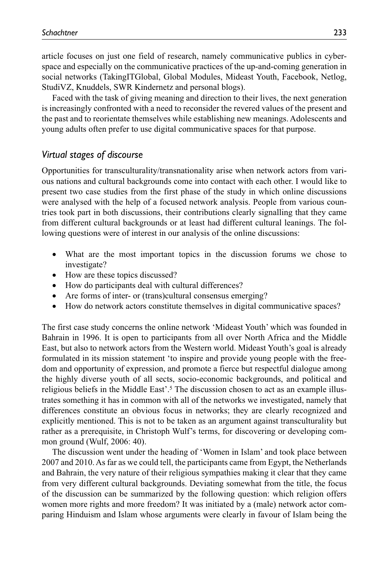article focuses on just one field of research, namely communicative publics in cyberspace and especially on the communicative practices of the up-and-coming generation in social networks (TakingITGlobal, Global Modules, Mideast Youth, Facebook, Netlog, StudiVZ, Knuddels, SWR Kindernetz and personal blogs).

Faced with the task of giving meaning and direction to their lives, the next generation is increasingly confronted with a need to reconsider the revered values of the present and the past and to reorientate themselves while establishing new meanings. Adolescents and young adults often prefer to use digital communicative spaces for that purpose.

#### *Virtual stages of discourse*

Opportunities for transculturality/transnationality arise when network actors from various nations and cultural backgrounds come into contact with each other. I would like to present two case studies from the first phase of the study in which online discussions were analysed with the help of a focused network analysis. People from various countries took part in both discussions, their contributions clearly signalling that they came from different cultural backgrounds or at least had different cultural leanings. The following questions were of interest in our analysis of the online discussions:

- What are the most important topics in the discussion forums we chose to investigate?
- How are these topics discussed?
- How do participants deal with cultural differences?
- Are forms of inter- or (trans)cultural consensus emerging?
- How do network actors constitute themselves in digital communicative spaces?

The first case study concerns the online network 'Mideast Youth' which was founded in Bahrain in 1996. It is open to participants from all over North Africa and the Middle East, but also to network actors from the Western world. Mideast Youth's goal is already formulated in its mission statement 'to inspire and provide young people with the freedom and opportunity of expression, and promote a fierce but respectful dialogue among the highly diverse youth of all sects, socio-economic backgrounds, and political and religious beliefs in the Middle East'.<sup>5</sup> The discussion chosen to act as an example illustrates something it has in common with all of the networks we investigated, namely that differences constitute an obvious focus in networks; they are clearly recognized and explicitly mentioned. This is not to be taken as an argument against transculturality but rather as a prerequisite, in Christoph Wulf's terms, for discovering or developing common ground (Wulf, 2006: 40).

The discussion went under the heading of 'Women in Islam' and took place between 2007 and 2010. As far as we could tell, the participants came from Egypt, the Netherlands and Bahrain, the very nature of their religious sympathies making it clear that they came from very different cultural backgrounds. Deviating somewhat from the title, the focus of the discussion can be summarized by the following question: which religion offers women more rights and more freedom? It was initiated by a (male) network actor comparing Hinduism and Islam whose arguments were clearly in favour of Islam being the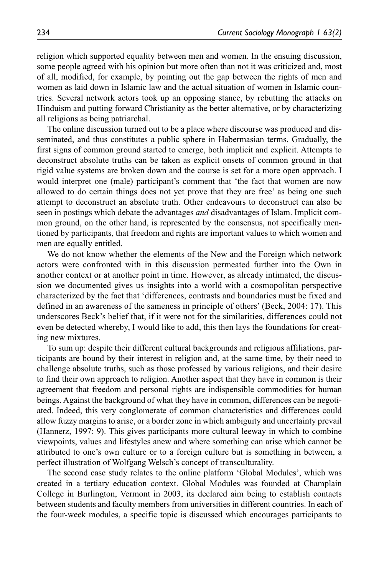religion which supported equality between men and women. In the ensuing discussion, some people agreed with his opinion but more often than not it was criticized and, most of all, modified, for example, by pointing out the gap between the rights of men and women as laid down in Islamic law and the actual situation of women in Islamic countries. Several network actors took up an opposing stance, by rebutting the attacks on Hinduism and putting forward Christianity as the better alternative, or by characterizing all religions as being patriarchal.

The online discussion turned out to be a place where discourse was produced and disseminated, and thus constitutes a public sphere in Habermasian terms. Gradually, the first signs of common ground started to emerge, both implicit and explicit. Attempts to deconstruct absolute truths can be taken as explicit onsets of common ground in that rigid value systems are broken down and the course is set for a more open approach. I would interpret one (male) participant's comment that 'the fact that women are now allowed to do certain things does not yet prove that they are free' as being one such attempt to deconstruct an absolute truth. Other endeavours to deconstruct can also be seen in postings which debate the advantages *and* disadvantages of Islam. Implicit common ground, on the other hand, is represented by the consensus, not specifically mentioned by participants, that freedom and rights are important values to which women and men are equally entitled.

We do not know whether the elements of the New and the Foreign which network actors were confronted with in this discussion permeated further into the Own in another context or at another point in time. However, as already intimated, the discussion we documented gives us insights into a world with a cosmopolitan perspective characterized by the fact that 'differences, contrasts and boundaries must be fixed and defined in an awareness of the sameness in principle of others' (Beck, 2004: 17). This underscores Beck's belief that, if it were not for the similarities, differences could not even be detected whereby, I would like to add, this then lays the foundations for creating new mixtures.

To sum up: despite their different cultural backgrounds and religious affiliations, participants are bound by their interest in religion and, at the same time, by their need to challenge absolute truths, such as those professed by various religions, and their desire to find their own approach to religion. Another aspect that they have in common is their agreement that freedom and personal rights are indispensible commodities for human beings. Against the background of what they have in common, differences can be negotiated. Indeed, this very conglomerate of common characteristics and differences could allow fuzzy margins to arise, or a border zone in which ambiguity and uncertainty prevail (Hannerz, 1997: 9). This gives participants more cultural leeway in which to combine viewpoints, values and lifestyles anew and where something can arise which cannot be attributed to one's own culture or to a foreign culture but is something in between, a perfect illustration of Wolfgang Welsch's concept of transculturality.

The second case study relates to the online platform 'Global Modules', which was created in a tertiary education context. Global Modules was founded at Champlain College in Burlington, Vermont in 2003, its declared aim being to establish contacts between students and faculty members from universities in different countries. In each of the four-week modules, a specific topic is discussed which encourages participants to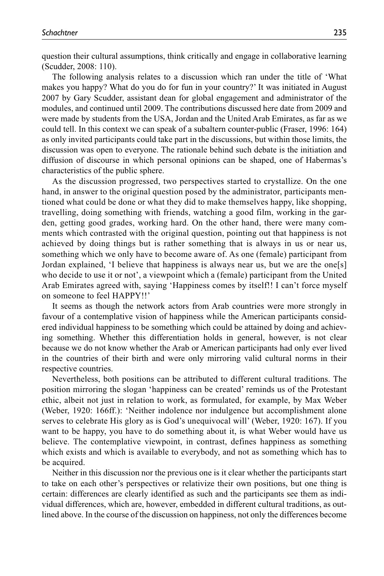question their cultural assumptions, think critically and engage in collaborative learning (Scudder, 2008: 110).

The following analysis relates to a discussion which ran under the title of 'What makes you happy? What do you do for fun in your country?' It was initiated in August 2007 by Gary Scudder, assistant dean for global engagement and administrator of the modules, and continued until 2009. The contributions discussed here date from 2009 and were made by students from the USA, Jordan and the United Arab Emirates, as far as we could tell. In this context we can speak of a subaltern counter-public (Fraser, 1996: 164) as only invited participants could take part in the discussions, but within those limits, the discussion was open to everyone. The rationale behind such debate is the initiation and diffusion of discourse in which personal opinions can be shaped, one of Habermas's characteristics of the public sphere.

As the discussion progressed, two perspectives started to crystallize. On the one hand, in answer to the original question posed by the administrator, participants mentioned what could be done or what they did to make themselves happy, like shopping, travelling, doing something with friends, watching a good film, working in the garden, getting good grades, working hard. On the other hand, there were many comments which contrasted with the original question, pointing out that happiness is not achieved by doing things but is rather something that is always in us or near us, something which we only have to become aware of. As one (female) participant from Jordan explained, 'I believe that happiness is always near us, but we are the one[s] who decide to use it or not', a viewpoint which a (female) participant from the United Arab Emirates agreed with, saying 'Happiness comes by itself!! I can't force myself on someone to feel HAPPY!!'

It seems as though the network actors from Arab countries were more strongly in favour of a contemplative vision of happiness while the American participants considered individual happiness to be something which could be attained by doing and achieving something. Whether this differentiation holds in general, however, is not clear because we do not know whether the Arab or American participants had only ever lived in the countries of their birth and were only mirroring valid cultural norms in their respective countries.

Nevertheless, both positions can be attributed to different cultural traditions. The position mirroring the slogan 'happiness can be created' reminds us of the Protestant ethic, albeit not just in relation to work, as formulated, for example, by Max Weber (Weber, 1920: 166ff.): 'Neither indolence nor indulgence but accomplishment alone serves to celebrate His glory as is God's unequivocal will' (Weber, 1920: 167). If you want to be happy, you have to do something about it, is what Weber would have us believe. The contemplative viewpoint, in contrast, defines happiness as something which exists and which is available to everybody, and not as something which has to be acquired.

Neither in this discussion nor the previous one is it clear whether the participants start to take on each other's perspectives or relativize their own positions, but one thing is certain: differences are clearly identified as such and the participants see them as individual differences, which are, however, embedded in different cultural traditions, as outlined above. In the course of the discussion on happiness, not only the differences become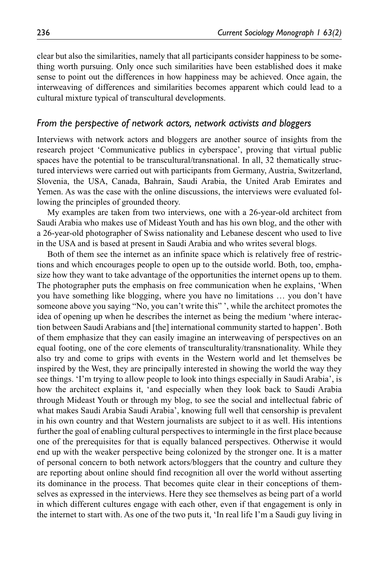clear but also the similarities, namely that all participants consider happiness to be something worth pursuing. Only once such similarities have been established does it make sense to point out the differences in how happiness may be achieved. Once again, the interweaving of differences and similarities becomes apparent which could lead to a cultural mixture typical of transcultural developments.

#### *From the perspective of network actors, network activists and bloggers*

Interviews with network actors and bloggers are another source of insights from the research project 'Communicative publics in cyberspace', proving that virtual public spaces have the potential to be transcultural/transnational. In all, 32 thematically structured interviews were carried out with participants from Germany, Austria, Switzerland, Slovenia, the USA, Canada, Bahrain, Saudi Arabia, the United Arab Emirates and Yemen. As was the case with the online discussions, the interviews were evaluated following the principles of grounded theory.

My examples are taken from two interviews, one with a 26-year-old architect from Saudi Arabia who makes use of Mideast Youth and has his own blog, and the other with a 26-year-old photographer of Swiss nationality and Lebanese descent who used to live in the USA and is based at present in Saudi Arabia and who writes several blogs.

Both of them see the internet as an infinite space which is relatively free of restrictions and which encourages people to open up to the outside world. Both, too, emphasize how they want to take advantage of the opportunities the internet opens up to them. The photographer puts the emphasis on free communication when he explains, 'When you have something like blogging, where you have no limitations … you don't have someone above you saying "No, you can't write this" ', while the architect promotes the idea of opening up when he describes the internet as being the medium 'where interaction between Saudi Arabians and [the] international community started to happen'. Both of them emphasize that they can easily imagine an interweaving of perspectives on an equal footing, one of the core elements of transculturality/transnationality. While they also try and come to grips with events in the Western world and let themselves be inspired by the West, they are principally interested in showing the world the way they see things. 'I'm trying to allow people to look into things especially in Saudi Arabia', is how the architect explains it, 'and especially when they look back to Saudi Arabia through Mideast Youth or through my blog, to see the social and intellectual fabric of what makes Saudi Arabia Saudi Arabia', knowing full well that censorship is prevalent in his own country and that Western journalists are subject to it as well. His intentions further the goal of enabling cultural perspectives to intermingle in the first place because one of the prerequisites for that is equally balanced perspectives. Otherwise it would end up with the weaker perspective being colonized by the stronger one. It is a matter of personal concern to both network actors/bloggers that the country and culture they are reporting about online should find recognition all over the world without asserting its dominance in the process. That becomes quite clear in their conceptions of themselves as expressed in the interviews. Here they see themselves as being part of a world in which different cultures engage with each other, even if that engagement is only in the internet to start with. As one of the two puts it, 'In real life I'm a Saudi guy living in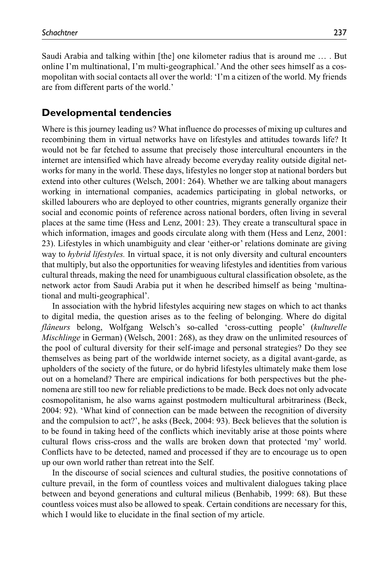Saudi Arabia and talking within [the] one kilometer radius that is around me … . But online I'm multinational, I'm multi-geographical.' And the other sees himself as a cosmopolitan with social contacts all over the world: 'I'm a citizen of the world. My friends are from different parts of the world.'

# **Developmental tendencies**

Where is this journey leading us? What influence do processes of mixing up cultures and recombining them in virtual networks have on lifestyles and attitudes towards life? It would not be far fetched to assume that precisely those intercultural encounters in the internet are intensified which have already become everyday reality outside digital networks for many in the world. These days, lifestyles no longer stop at national borders but extend into other cultures (Welsch, 2001: 264). Whether we are talking about managers working in international companies, academics participating in global networks, or skilled labourers who are deployed to other countries, migrants generally organize their social and economic points of reference across national borders, often living in several places at the same time (Hess and Lenz, 2001: 23). They create a transcultural space in which information, images and goods circulate along with them (Hess and Lenz, 2001: 23). Lifestyles in which unambiguity and clear 'either-or' relations dominate are giving way to *hybrid lifestyles.* In virtual space, it is not only diversity and cultural encounters that multiply, but also the opportunities for weaving lifestyles and identities from various cultural threads, making the need for unambiguous cultural classification obsolete, as the network actor from Saudi Arabia put it when he described himself as being 'multinational and multi-geographical'.

In association with the hybrid lifestyles acquiring new stages on which to act thanks to digital media, the question arises as to the feeling of belonging. Where do digital *flâneurs* belong, Wolfgang Welsch's so-called 'cross-cutting people' (*kulturelle Mischlinge* in German) (Welsch, 2001: 268), as they draw on the unlimited resources of the pool of cultural diversity for their self-image and personal strategies? Do they see themselves as being part of the worldwide internet society, as a digital avant-garde, as upholders of the society of the future, or do hybrid lifestyles ultimately make them lose out on a homeland? There are empirical indications for both perspectives but the phenomena are still too new for reliable predictions to be made. Beck does not only advocate cosmopolitanism, he also warns against postmodern multicultural arbitrariness (Beck, 2004: 92). 'What kind of connection can be made between the recognition of diversity and the compulsion to act?', he asks (Beck, 2004: 93). Beck believes that the solution is to be found in taking heed of the conflicts which inevitably arise at those points where cultural flows criss-cross and the walls are broken down that protected 'my' world. Conflicts have to be detected, named and processed if they are to encourage us to open up our own world rather than retreat into the Self.

In the discourse of social sciences and cultural studies, the positive connotations of culture prevail, in the form of countless voices and multivalent dialogues taking place between and beyond generations and cultural milieus (Benhabib, 1999: 68). But these countless voices must also be allowed to speak. Certain conditions are necessary for this, which I would like to elucidate in the final section of my article.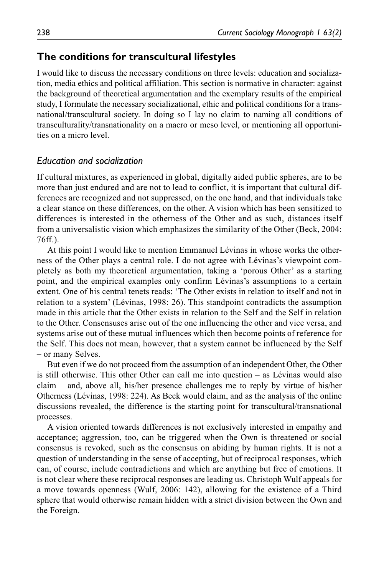## **The conditions for transcultural lifestyles**

I would like to discuss the necessary conditions on three levels: education and socialization, media ethics and political affiliation. This section is normative in character: against the background of theoretical argumentation and the exemplary results of the empirical study, I formulate the necessary socializational, ethic and political conditions for a transnational/transcultural society. In doing so I lay no claim to naming all conditions of transculturality/transnationality on a macro or meso level, or mentioning all opportunities on a micro level.

#### *Education and socialization*

If cultural mixtures, as experienced in global, digitally aided public spheres, are to be more than just endured and are not to lead to conflict, it is important that cultural differences are recognized and not suppressed, on the one hand, and that individuals take a clear stance on these differences, on the other. A vision which has been sensitized to differences is interested in the otherness of the Other and as such, distances itself from a universalistic vision which emphasizes the similarity of the Other (Beck, 2004: 76ff.).

At this point I would like to mention Emmanuel Lévinas in whose works the otherness of the Other plays a central role. I do not agree with Lévinas's viewpoint completely as both my theoretical argumentation, taking a 'porous Other' as a starting point, and the empirical examples only confirm Lévinas's assumptions to a certain extent. One of his central tenets reads: 'The Other exists in relation to itself and not in relation to a system' (Lévinas, 1998: 26). This standpoint contradicts the assumption made in this article that the Other exists in relation to the Self and the Self in relation to the Other. Consensuses arise out of the one influencing the other and vice versa, and systems arise out of these mutual influences which then become points of reference for the Self. This does not mean, however, that a system cannot be influenced by the Self – or many Selves.

But even if we do not proceed from the assumption of an independent Other, the Other is still otherwise. This other Other can call me into question – as Lévinas would also claim – and, above all, his/her presence challenges me to reply by virtue of his/her Otherness (Lévinas, 1998: 224). As Beck would claim, and as the analysis of the online discussions revealed, the difference is the starting point for transcultural/transnational processes.

A vision oriented towards differences is not exclusively interested in empathy and acceptance; aggression, too, can be triggered when the Own is threatened or social consensus is revoked, such as the consensus on abiding by human rights. It is not a question of understanding in the sense of accepting, but of reciprocal responses, which can, of course, include contradictions and which are anything but free of emotions. It is not clear where these reciprocal responses are leading us. Christoph Wulf appeals for a move towards openness (Wulf, 2006: 142), allowing for the existence of a Third sphere that would otherwise remain hidden with a strict division between the Own and the Foreign.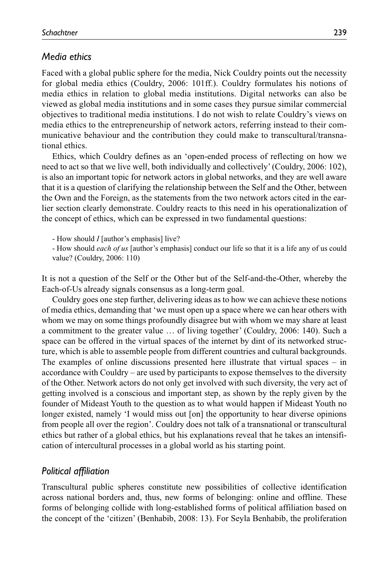### *Media ethics*

Faced with a global public sphere for the media, Nick Couldry points out the necessity for global media ethics (Couldry, 2006: 101ff.). Couldry formulates his notions of media ethics in relation to global media institutions. Digital networks can also be viewed as global media institutions and in some cases they pursue similar commercial objectives to traditional media institutions. I do not wish to relate Couldry's views on media ethics to the entrepreneurship of network actors, referring instead to their communicative behaviour and the contribution they could make to transcultural/transnational ethics.

Ethics, which Couldry defines as an 'open-ended process of reflecting on how we need to act so that we live well, both individually and collectively' (Couldry, 2006: 102), is also an important topic for network actors in global networks, and they are well aware that it is a question of clarifying the relationship between the Self and the Other, between the Own and the Foreign, as the statements from the two network actors cited in the earlier section clearly demonstrate. Couldry reacts to this need in his operationalization of the concept of ethics, which can be expressed in two fundamental questions:

- How should *I* [author's emphasis] live?

- How should *each of us* [author's emphasis] conduct our life so that it is a life any of us could value? (Couldry, 2006: 110)

It is not a question of the Self or the Other but of the Self-and-the-Other, whereby the Each-of-Us already signals consensus as a long-term goal.

Couldry goes one step further, delivering ideas as to how we can achieve these notions of media ethics, demanding that 'we must open up a space where we can hear others with whom we may on some things profoundly disagree but with whom we may share at least a commitment to the greater value … of living together' (Couldry, 2006: 140). Such a space can be offered in the virtual spaces of the internet by dint of its networked structure, which is able to assemble people from different countries and cultural backgrounds. The examples of online discussions presented here illustrate that virtual spaces – in accordance with Couldry – are used by participants to expose themselves to the diversity of the Other. Network actors do not only get involved with such diversity, the very act of getting involved is a conscious and important step, as shown by the reply given by the founder of Mideast Youth to the question as to what would happen if Mideast Youth no longer existed, namely 'I would miss out [on] the opportunity to hear diverse opinions from people all over the region'. Couldry does not talk of a transnational or transcultural ethics but rather of a global ethics, but his explanations reveal that he takes an intensification of intercultural processes in a global world as his starting point.

## *Political affiliation*

Transcultural public spheres constitute new possibilities of collective identification across national borders and, thus, new forms of belonging: online and offline. These forms of belonging collide with long-established forms of political affiliation based on the concept of the 'citizen' (Benhabib, 2008: 13). For Seyla Benhabib, the proliferation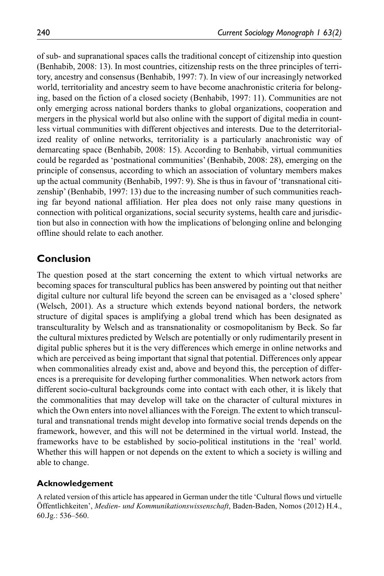of sub- and supranational spaces calls the traditional concept of citizenship into question (Benhabib, 2008: 13). In most countries, citizenship rests on the three principles of territory, ancestry and consensus (Benhabib, 1997: 7). In view of our increasingly networked world, territoriality and ancestry seem to have become anachronistic criteria for belonging, based on the fiction of a closed society (Benhabib, 1997: 11). Communities are not only emerging across national borders thanks to global organizations, cooperation and mergers in the physical world but also online with the support of digital media in countless virtual communities with different objectives and interests. Due to the deterritorialized reality of online networks, territoriality is a particularly anachronistic way of demarcating space (Benhabib, 2008: 15). According to Benhabib, virtual communities could be regarded as 'postnational communities' (Benhabib, 2008: 28), emerging on the principle of consensus, according to which an association of voluntary members makes up the actual community (Benhabib, 1997: 9). She is thus in favour of 'transnational citizenship' (Benhabib, 1997: 13) due to the increasing number of such communities reaching far beyond national affiliation. Her plea does not only raise many questions in connection with political organizations, social security systems, health care and jurisdiction but also in connection with how the implications of belonging online and belonging offline should relate to each another.

## **Conclusion**

The question posed at the start concerning the extent to which virtual networks are becoming spaces for transcultural publics has been answered by pointing out that neither digital culture nor cultural life beyond the screen can be envisaged as a 'closed sphere' (Welsch, 2001). As a structure which extends beyond national borders, the network structure of digital spaces is amplifying a global trend which has been designated as transculturality by Welsch and as transnationality or cosmopolitanism by Beck. So far the cultural mixtures predicted by Welsch are potentially or only rudimentarily present in digital public spheres but it is the very differences which emerge in online networks and which are perceived as being important that signal that potential. Differences only appear when commonalities already exist and, above and beyond this, the perception of differences is a prerequisite for developing further commonalities. When network actors from different socio-cultural backgrounds come into contact with each other, it is likely that the commonalities that may develop will take on the character of cultural mixtures in which the Own enters into novel alliances with the Foreign. The extent to which transcultural and transnational trends might develop into formative social trends depends on the framework, however, and this will not be determined in the virtual world. Instead, the frameworks have to be established by socio-political institutions in the 'real' world. Whether this will happen or not depends on the extent to which a society is willing and able to change.

#### **Acknowledgement**

A related version of this article has appeared in German under the title 'Cultural flows und virtuelle Öffentlichkeiten', *Medien- und Kommunikationswissenschaft*, Baden-Baden, Nomos (2012) H.4., 60.Jg.: 536–560.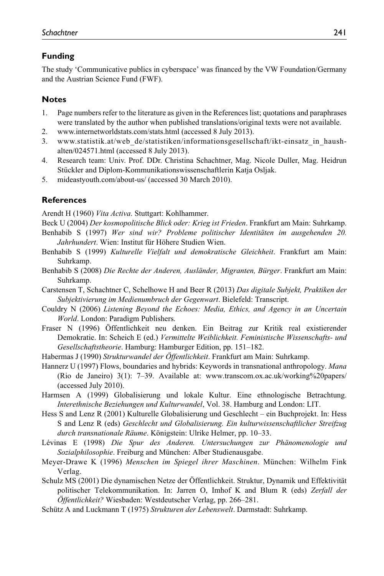### **Funding**

The study 'Communicative publics in cyberspace' was financed by the VW Foundation/Germany and the Austrian Science Fund (FWF).

#### **Notes**

- 1. Page numbers refer to the literature as given in the References list; quotations and paraphrases were translated by the author when published translations/original texts were not available.
- 2. www.internetworldstats.com/stats.html (accessed 8 July 2013).
- 3. www.statistik.at/web\_de/statistiken/informationsgesellschaft/ikt-einsatz\_in\_haushalten/024571.html (accessed 8 July 2013).
- 4. Research team: Univ. Prof. DDr. Christina Schachtner, Mag. Nicole Duller, Mag. Heidrun Stückler and Diplom-Kommunikationswissenschaftlerin Katja Osljak.
- 5. mideastyouth.com/about-us/ (accessed 30 March 2010).

#### **References**

Arendt H (1960) *Vita Activa*. Stuttgart: Kohlhammer.

Beck U (2004) *Der kosmopolitische Blick oder: Krieg ist Frieden*. Frankfurt am Main: Suhrkamp.

Benhabib S (1997) *Wer sind wir? Probleme politischer Identitäten im ausgehenden 20. Jahrhundert*. Wien: Institut für Höhere Studien Wien.

- Benhabib S (1999) *Kulturelle Vielfalt und demokratische Gleichheit*. Frankfurt am Main: Suhrkamp.
- Benhabib S (2008) *Die Rechte der Anderen, Ausländer, Migranten, Bürger*. Frankfurt am Main: Suhrkamp.
- Carstensen T, Schachtner C, Schelhowe H and Beer R (2013) *Das digitale Subjekt, Praktiken der Subjektivierung im Medienumbruch der Gegenwart*. Bielefeld: Transcript.
- Couldry N (2006) *Listening Beyond the Echoes: Media, Ethics, and Agency in an Uncertain World*. London: Paradigm Publishers.
- Fraser N (1996) Öffentlichkeit neu denken. Ein Beitrag zur Kritik real existierender Demokratie. In: Scheich E (ed.) *Vermittelte Weiblichkeit. Feministische Wissenschafts- und Gesellschaftstheorie*. Hamburg: Hamburger Edition, pp. 151–182.
- Habermas J (1990) *Strukturwandel der Öffentlichkeit*. Frankfurt am Main: Suhrkamp.
- Hannerz U (1997) Flows, boundaries and hybrids: Keywords in transnational anthropology. *Mana* (Rio de Janeiro) 3(1): 7–39. Available at: www.transcom.ox.ac.uk/working%20papers/ (accessed July 2010).
- Harmsen A (1999) Globalisierung und lokale Kultur. Eine ethnologische Betrachtung. *Interethnische Beziehungen und Kulturwandel*, Vol. 38. Hamburg and London: LIT.
- Hess S and Lenz R (2001) Kulturelle Globalisierung und Geschlecht ein Buchprojekt. In: Hess S and Lenz R (eds) *Geschlecht und Globalisierung. Ein kulturwissenschaftlicher Streifzug durch transnationale Räume*. Königstein: Ulrike Helmer, pp. 10–33.
- Lévinas E (1998) *Die Spur des Anderen. Untersuchungen zur Phänomenologie und Sozialphilosophie*. Freiburg and München: Alber Studienausgabe.
- Meyer-Drawe K (1996) *Menschen im Spiegel ihrer Maschinen*. München: Wilhelm Fink Verlag.
- Schulz MS (2001) Die dynamischen Netze der Öffentlichkeit. Struktur, Dynamik und Effektivität politischer Telekommunikation. In: Jarren O, Imhof K and Blum R (eds) *Zerfall der Öffentlichkeit?* Wiesbaden: Westdeutscher Verlag, pp. 266–281.
- Schütz A and Luckmann T (1975) *Strukturen der Lebenswelt*. Darmstadt: Suhrkamp.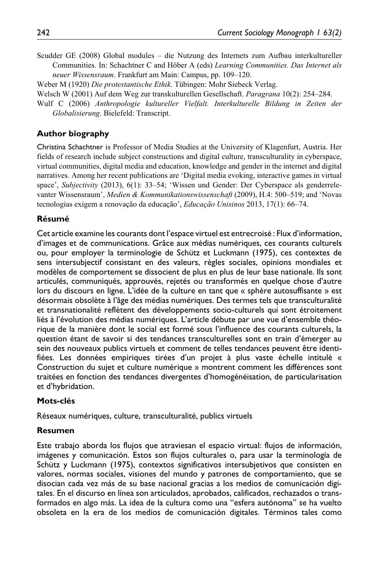- Scudder GE (2008) Global modules die Nutzung des Internets zum Aufbau interkultureller Communities. In: Schachtner C and Höber A (eds) *Learning Communities. Das Internet als neuer Wissensraum*. Frankfurt am Main: Campus, pp. 109–120.
- Weber M (1920) *Die protestantische Ethik*. Tübingen: Mohr Siebeck Verlag.
- Welsch W (2001) Auf dem Weg zur transkulturellen Gesellschaft. *Paragrana* 10(2): 254–284.
- Wulf C (2006) *Anthropologie kultureller Vielfalt. Interkulturelle Bildung in Zeiten der Globalisierung*. Bielefeld: Transcript.

#### **Author biography**

Christina Schachtner is Professor of Media Studies at the University of Klagenfurt, Austria. Her fields of research include subject constructions and digital culture, transculturality in cyberspace, virtual communities, digital media and education, knowledge and gender in the internet and digital narratives. Among her recent publications are 'Digital media evoking, interactive games in virtual space', *Subjectivity* (2013), 6(1): 33–54; 'Wissen und Gender: Der Cyberspace als genderrelevanter Wissensraum', *Medien & Kommunikationswissenschaft* (2009), H.4: 500–519; and 'Novas tecnologias exigem a renovação da educação', *Educação Unisinos* 2013, 17(1): 66–74.

#### **Résumé**

Cet article examine les courants dont l'espace virtuel est entrecroisé : Flux d'information, d'images et de communications. Grâce aux médias numériques, ces courants culturels ou, pour employer la terminologie de Schütz et Luckmann (1975), ces contextes de sens intersubjectif consistant en des valeurs, règles sociales, opinions mondiales et modèles de comportement se dissocient de plus en plus de leur base nationale. Ils sont articulés, communiqués, approuvés, rejetés ou transformés en quelque chose d'autre lors du discours en ligne. L'idée de la culture en tant que « sphère autosuffisante » est désormais obsolète à l'âge des médias numériques. Des termes tels que transculturalité et transnationalité reflètent des développements socio-culturels qui sont étroitement liés à l'évolution des médias numériques. L'article débute par une vue d'ensemble théorique de la manière dont le social est formé sous l'influence des courants culturels, la question étant de savoir si des tendances transculturelles sont en train d'émerger au sein des nouveaux publics virtuels et comment de telles tendances peuvent être identifiées. Les données empiriques tirées d'un projet à plus vaste échelle intitulé « Construction du sujet et culture numérique » montrent comment les différences sont traitées en fonction des tendances divergentes d'homogénéisation, de particularisation et d'hybridation.

#### **Mots-clés**

Réseaux numériques, culture, transculturalité, publics virtuels

#### **Resumen**

Este trabajo aborda los flujos que atraviesan el espacio virtual: flujos de información, imágenes y comunicación. Estos son flujos culturales o, para usar la terminología de Schütz y Luckmann (1975), contextos significativos intersubjetivos que consisten en valores, normas sociales, visiones del mundo y patrones de comportamiento, que se disocian cada vez más de su base nacional gracias a los medios de comunicación digitales. En el discurso en línea son articulados, aprobados, calificados, rechazados o transformados en algo más. La idea de la cultura como una "esfera autónoma" se ha vuelto obsoleta en la era de los medios de comunicación digitales. Términos tales como